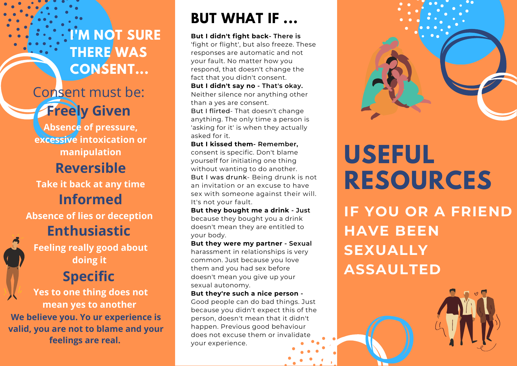**I'M NOT SURE THERE WAS CONSENT...**

## Consent must be: **Freely Given**

**Absence of pressure, excessive intoxication or manipulation**

### **Reversible**

**Take it back at any time Informed**

**Absence of lies or deception Enthusiastic**

**Feeling really good about doing it**

**Yes to one thing does not mean yes to another We believe you. Yo ur experience is valid, you are not to blame and your feelings are real.**

## **BUT WHAT IF ...**

**But I didn't fight back- There is** 'fight or flight', but also freeze. These responses are automatic and not your fault. No matter how you respond, that doesn't change the fact that you didn't consent. **But I didn't say no - That's okay.** Neither silence nor anything other than a yes are consent. But I flirted- That doesn't change anything. The only time a person is 'asking for it' is when they actually asked for it.

**But I kissed them- Remember,** consent is specific. Don't blame yourself for initiating one thing without wanting to do another. But I was drunk- Being drunk is not an invitation or an excuse to have sex with someone against their will. It's not your fault.

**But they bought me a drink - Just** because they bought you a drink doesn't mean they are entitled to your body.

**But they were my partner - Sexual** harassment in relationships is very common. Just because you love them and you had sex before doesn't mean you give up your sexual autonomy. **Specific CONSERVING THE SPECIFIC CONSERVING THE SPECIFIC CONSERVING THE SPECIFIC ASSAULTED** 

**But they're such a nice person -** Good people can do bad things. Just because you didn't expect this of the person, doesn't mean that it didn't happen. Previous good behaviour does not excuse them or invalidate your experience.



# **USEFUL RESOURCES**

**IF YOU OR A FRIEND HAVE BEEN SEXUALLY**